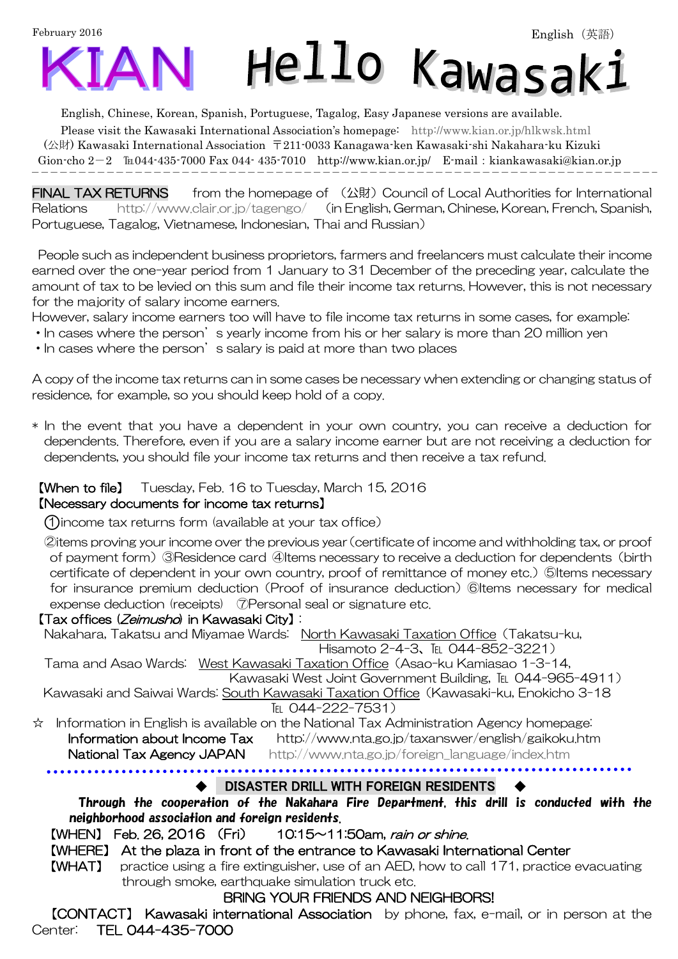February 2016



English, Chinese, Korean, Spanish, Portuguese, Tagalog, Easy Japanese versions are available.

Please visit the Kawasaki International Association's homepage: <http://www.kian.or.jp/hlkwsk.html> (公財) Kawasaki International Association 〒211-0033 Kanagawa-ken Kawasaki-shi Nakahara-ku Kizuki Gion-cho  $2-2$  ku044-435-7000 Fax 044-435-7010 <http://www.kian.or.jp/>E-mail: kiankawasaki@kian.or.jp  $\overline{a}$ 

**FINAL TAX RETURNS** from the homepage of (公財) Council of Local Authorities for International Relations <http://www.clair.or.jp/tagengo/> (in English, German, Chinese, Korean, French, Spanish, Portuguese, Tagalog, Vietnamese, Indonesian, Thai and Russian)

 People such as independent business proprietors, farmers and freelancers must calculate their income earned over the one-year period from 1 January to 31 December of the preceding year, calculate the amount of tax to be levied on this sum and file their income tax returns. However, this is not necessary for the majority of salary income earners.

However, salary income earners too will have to file income tax returns in some cases, for example:

- In cases where the person's yearly income from his or her salary is more than 20 million yen
- In cases where the person's salary is paid at more than two places

A copy of the income tax returns can in some cases be necessary when extending or changing status of residence, for example, so you should keep hold of a copy.

\* In the event that you have a dependent in your own country, you can receive a deduction for dependents. Therefore, even if you are a salary income earner but are not receiving a deduction for dependents, you should file your income tax returns and then receive a tax refund.

## 【When to file】 Tuesday, Feb. 16 to Tuesday, March 15, 2016

## 【Necessary documents for income tax returns】

○<sup>1</sup> income tax returns form (available at your tax office)

②items proving your income over the previous year(certificate of income and withholding tax, or proof of payment form)③Residence card ④Items necessary to receive a deduction for dependents(birth certificate of dependent in your own country, proof of remittance of money etc.) ⑤Items necessary for insurance premium deduction (Proof of insurance deduction) ©Items necessary for medical expense deduction (receipts) 7Personal seal or signature etc.

## 【Tax offices (Zeimusho) in Kawasaki City】:

Nakahara, Takatsu and Miyamae Wards: North Kawasaki Taxation Office(Takatsu-ku,

Hisamoto 2-4-3、℡ 044-852-3221)

Tama and Asao Wards: West Kawasaki Taxation Office(Asao-ku Kamiasao 1-3-14, Kawasaki West Joint Government Building, TEL 044-965-4911)

Kawasaki and Saiwai Wards: South Kawasaki Taxation Office(Kawasaki-ku, Enokicho 3-18

## TEL 044-222-7531)

☆ Information in English is available on the National Tax Administration Agency homepage:

#### Information about Income Tax <http://www.nta.go.jp/taxanswer/english/gaikoku.htm> **National Tax Agency JAPAN** [http://www.nta.go.jp/foreign\\_language/index.htm](http://www.nta.go.jp/foreign_language/index.htm)

## DISASTER DRILL WITH FOREIGN RESIDENTS

Through the cooperation of the Nakahara Fire Department, this drill is conducted with the neighborhood association and foreign residents.

【WHEN】 Feb. 26, 2016 (Fri) 10:15~11:50am, rain or shine.

## 【WHERE】 At the plaza in front of the entrance to Kawasaki International Center

【WHAT】 practice using a fire extinguisher, use of an AED, how to call 171, practice evacuating through smoke, earthquake simulation truck etc.

## BRING YOUR FRIENDS AND NEIGHBORS!

 【CONTACT】 Kawasaki international Association by phone, fax, e-mail, or in person at the Center: TEL 044-435-7000